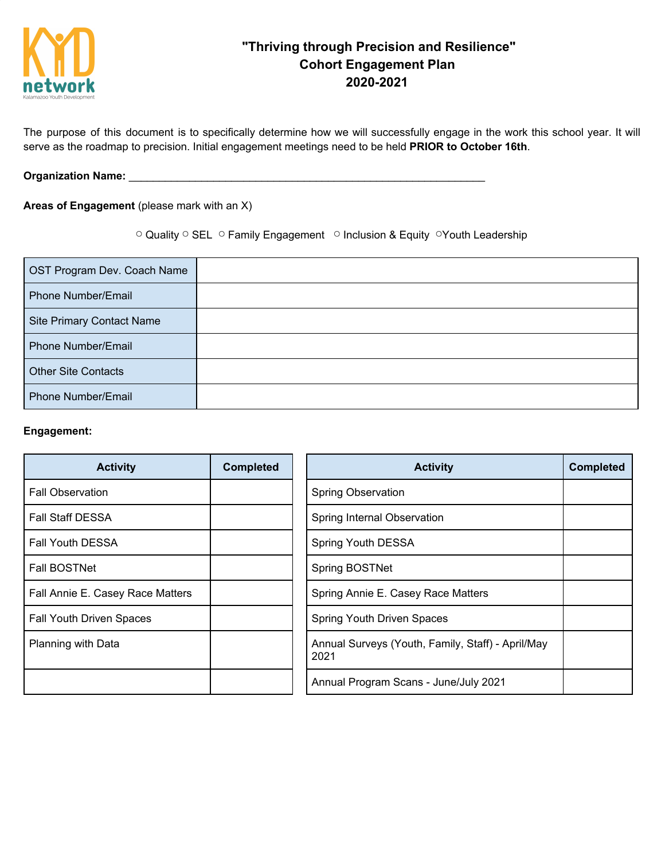

# **"Thriving through Precision and Resilience" Cohort Engagement Plan 2020-2021**

The purpose of this document is to specifically determine how we will successfully engage in the work this school year. It will serve as the roadmap to precision. Initial engagement meetings need to be held **PRIOR to October 16th**.

### **Organization Name:** \_\_\_\_\_\_\_\_\_\_\_\_\_\_\_\_\_\_\_\_\_\_\_\_\_\_\_\_\_\_\_\_\_\_\_\_\_\_\_\_\_\_\_\_\_\_\_\_\_\_\_\_\_\_\_\_\_\_\_

## **Areas of Engagement** (please mark with an X)

◯ Quality ◯ SEL ◯ Family Engagement ◯ Inclusion & Equity ◯ Youth Leadership

| OST Program Dev. Coach Name      |  |
|----------------------------------|--|
| Phone Number/Email               |  |
| <b>Site Primary Contact Name</b> |  |
| <b>Phone Number/Email</b>        |  |
| <b>Other Site Contacts</b>       |  |
| <b>Phone Number/Email</b>        |  |

#### **Engagement:**

| <b>Activity</b>                  | <b>Completed</b> | <b>Activity</b>                                           | <b>Completed</b> |
|----------------------------------|------------------|-----------------------------------------------------------|------------------|
| <b>Fall Observation</b>          |                  | <b>Spring Observation</b>                                 |                  |
| <b>Fall Staff DESSA</b>          |                  | Spring Internal Observation                               |                  |
| <b>Fall Youth DESSA</b>          |                  | Spring Youth DESSA                                        |                  |
| <b>Fall BOSTNet</b>              |                  | Spring BOSTNet                                            |                  |
| Fall Annie E. Casey Race Matters |                  | Spring Annie E. Casey Race Matters                        |                  |
| <b>Fall Youth Driven Spaces</b>  |                  | Spring Youth Driven Spaces                                |                  |
| Planning with Data               |                  | Annual Surveys (Youth, Family, Staff) - April/May<br>2021 |                  |
|                                  |                  | Annual Program Scans - June/July 2021                     |                  |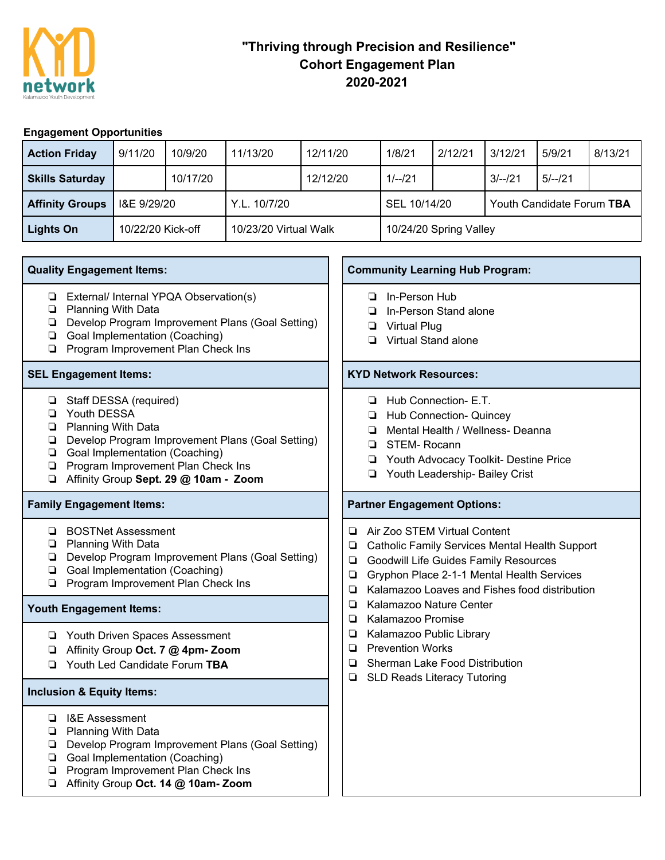

# **"Thriving through Precision and Resilience" Cohort Engagement Plan 2020-2021**

# **Engagement Opportunities**

| <b>Action Friday</b>   | 9/11/20           | 10/9/20  | 11/13/20              | 12/11/20 | 1/8/21                 | 2/12/21 | 3/12/21                   | 5/9/21   | 8/13/21 |
|------------------------|-------------------|----------|-----------------------|----------|------------------------|---------|---------------------------|----------|---------|
| <b>Skills Saturday</b> |                   | 10/17/20 |                       | 12/12/20 | $1/-/21$               |         | $3/-/21$                  | $5/-/21$ |         |
| <b>Affinity Groups</b> | I&E 9/29/20       |          | Y.L. 10/7/20          |          | SEL 10/14/20           |         | Youth Candidate Forum TBA |          |         |
| Lights On              | 10/22/20 Kick-off |          | 10/23/20 Virtual Walk |          | 10/24/20 Spring Valley |         |                           |          |         |

- ❏ External/ Internal YPQA Observation(s)
- ❏ Planning With Data
- ❏ Develop Program Improvement Plans (Goal Setting)
- ❏ Goal Implementation (Coaching)
- ❏ Program Improvement Plan Check Ins

- ❏ Staff DESSA (required)
- ❏ Youth DESSA
- ❏ Planning With Data
- ❏ Develop Program Improvement Plans (Goal Setting)
- ❏ Goal Implementation (Coaching)
- ❏ Program Improvement Plan Check Ins
- ❏ Affinity Group **Sept. 29 @ 10am - Zoom**

## **Family Engagement Items: Partner Engagement Options:**

- ❏ BOSTNet Assessment
- ❏ Planning With Data
- ❏ Develop Program Improvement Plans (Goal Setting)
- ❏ Goal Implementation (Coaching)
- ❏ Program Improvement Plan Check Ins

## **Youth Engagement Items:**

- ❏ Youth Driven Spaces Assessment
- ❏ Affinity Group **Oct. 7 @ 4pm- Zoom**
- ❏ Youth Led Candidate Forum **TBA**

### **Inclusion & Equity Items:**

- ❏ I&E Assessment
- ❏ Planning With Data
- ❏ Develop Program Improvement Plans (Goal Setting)
- ❏ Goal Implementation (Coaching)
- ❏ Program Improvement Plan Check Ins
- ❏ Affinity Group **Oct. 14 @ 10am- Zoom**

## **Quality Engagement Items: Community Learning Hub Program:**

- ❏ In-Person Hub
- ❏ In-Person Stand alone
- ❏ Virtual Plug
- ❏ Virtual Stand alone

### **SEL Engagement Items: KYD Network Resources:**

- ❏ Hub Connection- E.T.
- ❏ Hub Connection- Quincey
- ❏ Mental Health / Wellness- Deanna
- ❏ STEM- Rocann
- ❏ Youth Advocacy Toolkit- Destine Price
- ❏ Youth Leadership- Bailey Crist

- ❏ Air Zoo STEM Virtual Content
- ❏ Catholic Family Services Mental Health Support
- ❏ Goodwill Life Guides Family Resources
- ❏ Gryphon Place 2-1-1 Mental Health Services
- ❏ Kalamazoo Loaves and Fishes food distribution
- ❏ Kalamazoo Nature Center
- ❏ Kalamazoo Promise
- ❏ Kalamazoo Public Library
- ❏ Prevention Works
- ❏ Sherman Lake Food Distribution
- ❏ SLD Reads Literacy Tutoring